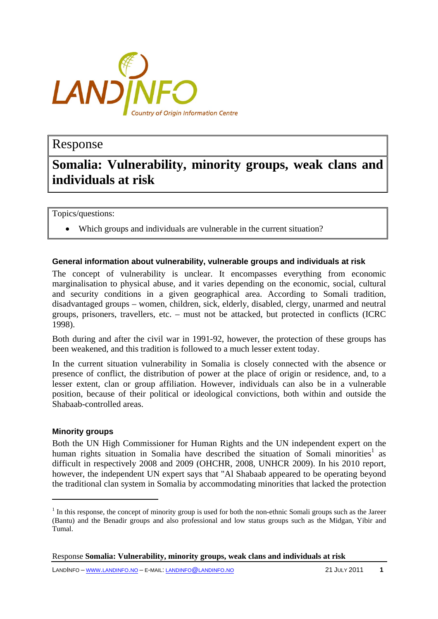

# Response

# **Somalia: Vulnerability, minority groups, weak clans and individuals at risk**

Topics/questions:

• Which groups and individuals are vulnerable in the current situation?

#### **General information about vulnerability, vulnerable groups and individuals at risk**

The concept of vulnerability is unclear. It encompasses everything from economic marginalisation to physical abuse, and it varies depending on the economic, social, cultural and security conditions in a given geographical area. According to Somali tradition, disadvantaged groups – women, children, sick, elderly, disabled, clergy, unarmed and neutral groups, prisoners, travellers, etc. – must not be attacked, but protected in conflicts (ICRC 1998).

Both during and after the civil war in 1991-92, however, the protection of these groups has been weakened, and this tradition is followed to a much lesser extent today.

In the current situation vulnerability in Somalia is closely connected with the absence or presence of conflict, the distribution of power at the place of origin or residence, and, to a lesser extent, clan or group affiliation. However, individuals can also be in a vulnerable position, because of their political or ideological convictions, both within and outside the Shabaab-controlled areas.

#### **Minority groups**

 $\overline{a}$ 

Both the UN High Commissioner for Human Rights and the UN independent expert on the human rights situation in Somalia have described the situation of Somali minorities<sup>1</sup> as difficult in respectively 2008 and 2009 (OHCHR, 2008, UNHCR 2009). In his 2010 report, however, the independent UN expert says that "Al Shabaab appeared to be operating beyond the traditional clan system in Somalia by accommodating minorities that lacked the protection

 $<sup>1</sup>$  In this response, the concept of minority group is used for both the non-ethnic Somali groups such as the Jareer</sup> (Bantu) and the Benadir groups and also professional and low status groups such as the Midgan, Yibir and Tumal.

Response **Somalia: Vulnerability, minority groups, weak clans and individuals at risk**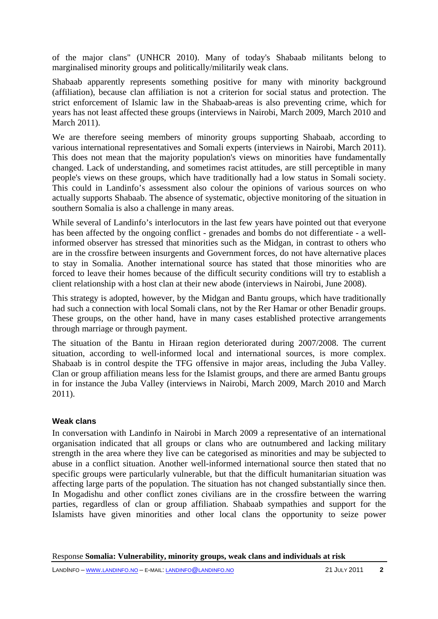of the major clans" (UNHCR 2010). Many of today's Shabaab militants belong to marginalised minority groups and politically/militarily weak clans.

Shabaab apparently represents something positive for many with minority background (affiliation), because clan affiliation is not a criterion for social status and protection. The strict enforcement of Islamic law in the Shabaab-areas is also preventing crime, which for years has not least affected these groups (interviews in Nairobi, March 2009, March 2010 and March 2011).

We are therefore seeing members of minority groups supporting Shabaab, according to various international representatives and Somali experts (interviews in Nairobi, March 2011). This does not mean that the majority population's views on minorities have fundamentally changed. Lack of understanding, and sometimes racist attitudes, are still perceptible in many people's views on these groups, which have traditionally had a low status in Somali society. This could in Landinfo's assessment also colour the opinions of various sources on who actually supports Shabaab. The absence of systematic, objective monitoring of the situation in southern Somalia is also a challenge in many areas.

While several of Landinfo's interlocutors in the last few years have pointed out that everyone has been affected by the ongoing conflict - grenades and bombs do not differentiate - a wellinformed observer has stressed that minorities such as the Midgan, in contrast to others who are in the crossfire between insurgents and Government forces, do not have alternative places to stay in Somalia. Another international source has stated that those minorities who are forced to leave their homes because of the difficult security conditions will try to establish a client relationship with a host clan at their new abode (interviews in Nairobi, June 2008).

This strategy is adopted, however, by the Midgan and Bantu groups, which have traditionally had such a connection with local Somali clans, not by the Rer Hamar or other Benadir groups. These groups, on the other hand, have in many cases established protective arrangements through marriage or through payment.

The situation of the Bantu in Hiraan region deteriorated during 2007/2008. The current situation, according to well-informed local and international sources, is more complex. Shabaab is in control despite the TFG offensive in major areas, including the Juba Valley. Clan or group affiliation means less for the Islamist groups, and there are armed Bantu groups in for instance the Juba Valley (interviews in Nairobi, March 2009, March 2010 and March 2011).

# **Weak clans**

In conversation with Landinfo in Nairobi in March 2009 a representative of an international organisation indicated that all groups or clans who are outnumbered and lacking military strength in the area where they live can be categorised as minorities and may be subjected to abuse in a conflict situation. Another well-informed international source then stated that no specific groups were particularly vulnerable, but that the difficult humanitarian situation was affecting large parts of the population. The situation has not changed substantially since then. In Mogadishu and other conflict zones civilians are in the crossfire between the warring parties, regardless of clan or group affiliation. Shabaab sympathies and support for the Islamists have given minorities and other local clans the opportunity to seize power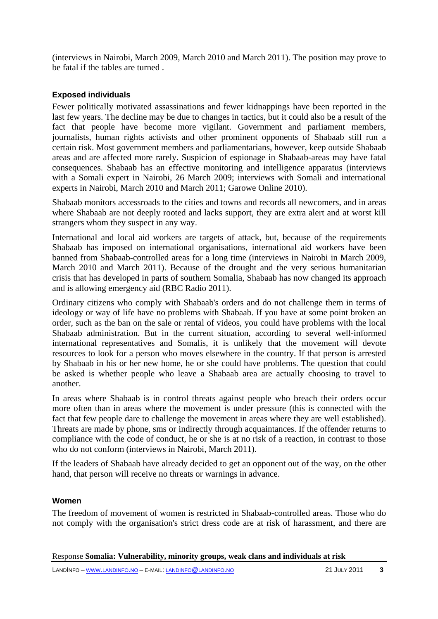(interviews in Nairobi, March 2009, March 2010 and March 2011). The position may prove to be fatal if the tables are turned .

# **Exposed individuals**

Fewer politically motivated assassinations and fewer kidnappings have been reported in the last few years. The decline may be due to changes in tactics, but it could also be a result of the fact that people have become more vigilant. Government and parliament members, journalists, human rights activists and other prominent opponents of Shabaab still run a certain risk. Most government members and parliamentarians, however, keep outside Shabaab areas and are affected more rarely. Suspicion of espionage in Shabaab-areas may have fatal consequences. Shabaab has an effective monitoring and intelligence apparatus (interviews with a Somali expert in Nairobi, 26 March 2009; interviews with Somali and international experts in Nairobi, March 2010 and March 2011; Garowe Online 2010).

Shabaab monitors accessroads to the cities and towns and records all newcomers, and in areas where Shabaab are not deeply rooted and lacks support, they are extra alert and at worst kill strangers whom they suspect in any way.

International and local aid workers are targets of attack, but, because of the requirements Shabaab has imposed on international organisations, international aid workers have been banned from Shabaab-controlled areas for a long time (interviews in Nairobi in March 2009, March 2010 and March 2011). Because of the drought and the very serious humanitarian crisis that has developed in parts of southern Somalia, Shabaab has now changed its approach and is allowing emergency aid (RBC Radio 2011).

Ordinary citizens who comply with Shabaab's orders and do not challenge them in terms of ideology or way of life have no problems with Shabaab. If you have at some point broken an order, such as the ban on the sale or rental of videos, you could have problems with the local Shabaab administration. But in the current situation, according to several well-informed international representatives and Somalis, it is unlikely that the movement will devote resources to look for a person who moves elsewhere in the country. If that person is arrested by Shabaab in his or her new home, he or she could have problems. The question that could be asked is whether people who leave a Shabaab area are actually choosing to travel to another.

In areas where Shabaab is in control threats against people who breach their orders occur more often than in areas where the movement is under pressure (this is connected with the fact that few people dare to challenge the movement in areas where they are well established). Threats are made by phone, sms or indirectly through acquaintances. If the offender returns to compliance with the code of conduct, he or she is at no risk of a reaction, in contrast to those who do not conform (interviews in Nairobi, March 2011).

If the leaders of Shabaab have already decided to get an opponent out of the way, on the other hand, that person will receive no threats or warnings in advance.

# **Women**

The freedom of movement of women is restricted in Shabaab-controlled areas. Those who do not comply with the organisation's strict dress code are at risk of harassment, and there are

Response **Somalia: Vulnerability, minority groups, weak clans and individuals at risk**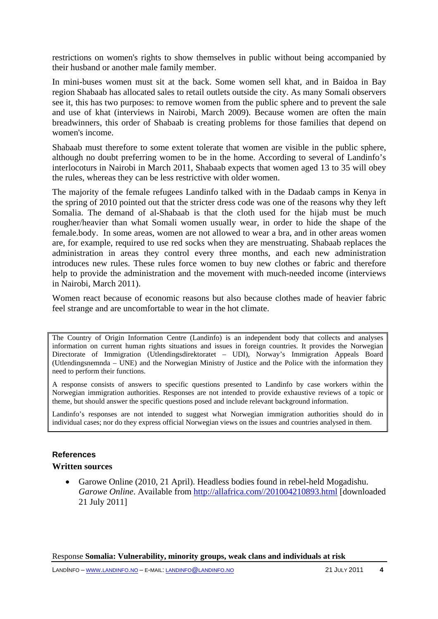restrictions on women's rights to show themselves in public without being accompanied by their husband or another male family member.

In mini-buses women must sit at the back. Some women sell khat, and in Baidoa in Bay region Shabaab has allocated sales to retail outlets outside the city. As many Somali observers see it, this has two purposes: to remove women from the public sphere and to prevent the sale and use of khat (interviews in Nairobi, March 2009). Because women are often the main breadwinners, this order of Shabaab is creating problems for those families that depend on women's income.

Shabaab must therefore to some extent tolerate that women are visible in the public sphere, although no doubt preferring women to be in the home. According to several of Landinfo's interlocoturs in Nairobi in March 2011, Shabaab expects that women aged 13 to 35 will obey the rules, whereas they can be less restrictive with older women.

The majority of the female refugees Landinfo talked with in the Dadaab camps in Kenya in the spring of 2010 pointed out that the stricter dress code was one of the reasons why they left Somalia. The demand of al-Shabaab is that the cloth used for the hijab must be much rougher/heavier than what Somali women usually wear, in order to hide the shape of the female.body. In some areas, women are not allowed to wear a bra, and in other areas women are, for example, required to use red socks when they are menstruating. Shabaab replaces the administration in areas they control every three months, and each new administration introduces new rules. These rules force women to buy new clothes or fabric and therefore help to provide the administration and the movement with much-needed income (interviews in Nairobi, March 2011).

Women react because of economic reasons but also because clothes made of heavier fabric feel strange and are uncomfortable to wear in the hot climate.

The Country of Origin Information Centre (Landinfo) is an independent body that collects and analyses information on current human rights situations and issues in foreign countries. It provides the Norwegian Directorate of Immigration (Utlendingsdirektoratet – UDI), Norway's Immigration Appeals Board (Utlendingsnemnda – UNE) and the Norwegian Ministry of Justice and the Police with the information they need to perform their functions.

A response consists of answers to specific questions presented to Landinfo by case workers within the Norwegian immigration authorities. Responses are not intended to provide exhaustive reviews of a topic or theme, but should answer the specific questions posed and include relevant background information.

Landinfo's responses are not intended to suggest what Norwegian immigration authorities should do in individual cases; nor do they express official Norwegian views on the issues and countries analysed in them.

#### **References**

#### **Written sources**

• Garowe Online (2010, 21 April). Headless bodies found in rebel-held Mogadishu. *Garowe Online*. Available from http://allafrica.com//201004210893.html [downloaded 21 July 2011]

Response **Somalia: Vulnerability, minority groups, weak clans and individuals at risk**